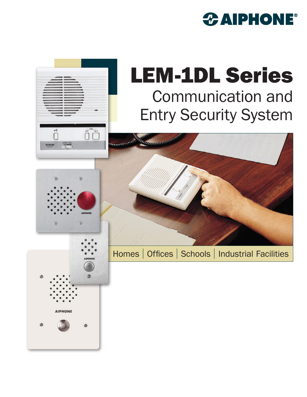## *CAIPHONE®*

## LEM-1DL Series Communication and Entry Security System



**CICE VOL** 

 $\prod_{i=1}^{n}$ 

 $\bigcup_{\alpha\in\mathbb{Z}}\bigcup_{\alpha\in\mathbb{Z}}\mathbb{Z}^{\times}$